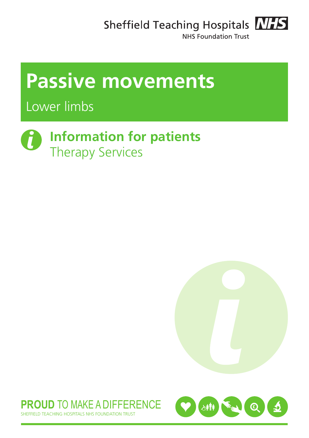Sheffield Teaching Hospitals **NHS** 



NHS Foundation Trust

# **Passive movements**

Lower limbs

# **Information for patients** Therapy Services





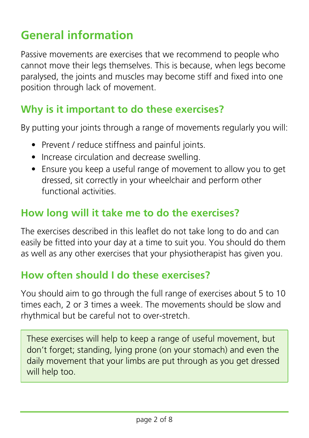## **General information**

Passive movements are exercises that we recommend to people who cannot move their legs themselves. This is because, when legs become paralysed, the joints and muscles may become stiff and fixed into one position through lack of movement.

### **Why is it important to do these exercises?**

By putting your joints through a range of movements regularly you will:

- Prevent / reduce stiffness and painful joints.
- Increase circulation and decrease swelling.
- Ensure you keep a useful range of movement to allow you to get dressed, sit correctly in your wheelchair and perform other functional activities.

### **How long will it take me to do the exercises?**

The exercises described in this leaflet do not take long to do and can easily be fitted into your day at a time to suit you. You should do them as well as any other exercises that your physiotherapist has given you.

## **How often should I do these exercises?**

You should aim to go through the full range of exercises about 5 to 10 times each, 2 or 3 times a week. The movements should be slow and rhythmical but be careful not to over-stretch.

These exercises will help to keep a range of useful movement, but don't forget; standing, lying prone (on your stomach) and even the daily movement that your limbs are put through as you get dressed will help too.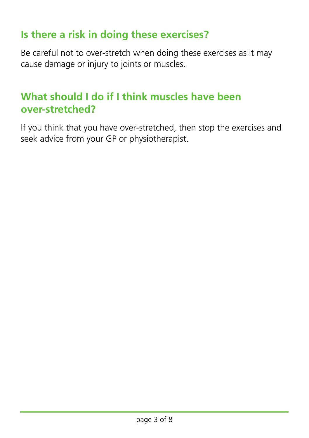#### **Is there a risk in doing these exercises?**

Be careful not to over-stretch when doing these exercises as it may cause damage or injury to joints or muscles.

## **What should I do if I think muscles have been over-stretched?**

If you think that you have over-stretched, then stop the exercises and seek advice from your GP or physiotherapist.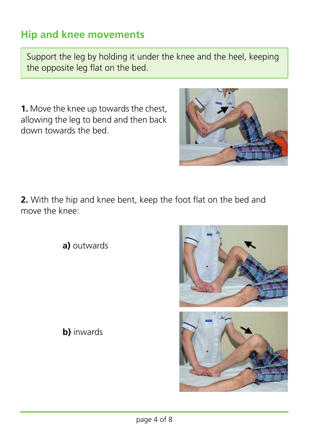## **Hip and knee movements**

Support the leg by holding it under the knee and the heel, keeping the opposite leg flat on the bed.

**1.** Move the knee up towards the chest, allowing the leg to bend and then back down towards the bed.



**2.** With the hip and knee bent, keep the foot flat on the bed and move the knee:

**a)** outwards





**b)** inwards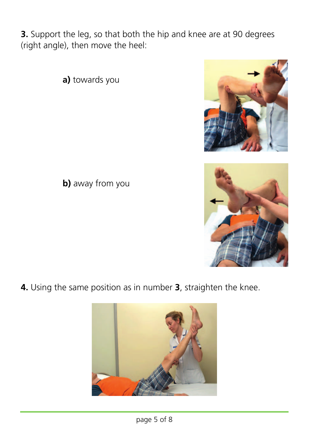**3.** Support the leg, so that both the hip and knee are at 90 degrees (right angle), then move the heel:

**a)** towards you

**b)** away from you

**4.** Using the same position as in number **3**, straighten the knee.





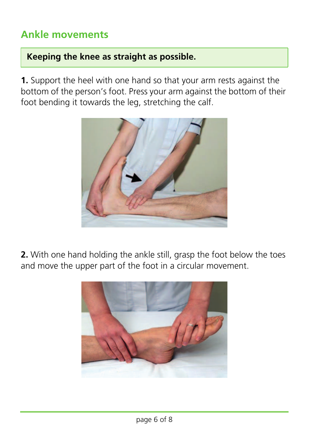## **Ankle movements**

#### **Keeping the knee as straight as possible.**

**1.** Support the heel with one hand so that your arm rests against the bottom of the person's foot. Press your arm against the bottom of their foot bending it towards the leg, stretching the calf.



**2.** With one hand holding the ankle still, grasp the foot below the toes and move the upper part of the foot in a circular movement.

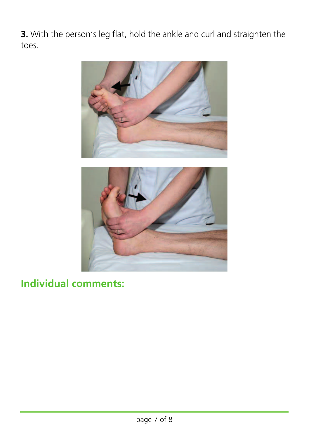**3.** With the person's leg flat, hold the ankle and curl and straighten the toes.





### **Individual comments:**